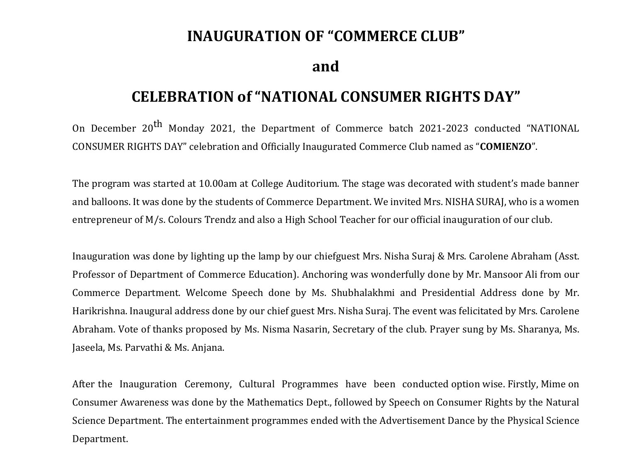## **INAUGURATION OF "COMMERCE CLUB"**

**and** 

## **CELEBRATION of "NATIONAL CONSUMER RIGHTS DAY"**

On December 20<sup>th</sup> Monday 2021, the Department of Commerce batch 2021-2023 conducted "NATIONAL CONSUMER RIGHTS DAY" celebration and Officially Inaugurated Commerce Club named as "**COMIENZO**".

The program was started at 10.00am at College Auditorium. The stage was decorated with student's made banner and balloons. It was done by the students of Commerce Department. We invited Mrs. NISHA SURAJ, who is a women entrepreneur of M/s. Colours Trendz and also a High School Teacher for our official inauguration of our club.

Inauguration was done by lighting up the lamp by our chiefguest Mrs. Nisha Suraj & Mrs. Carolene Abraham (Asst. Professor of Department of Commerce Education). Anchoring was wonderfully done by Mr. Mansoor Ali from our Commerce Department. Welcome Speech done by Ms. Shubhalakhmi and Presidential Address done by Mr. Harikrishna. Inaugural address done by our chief guest Mrs. Nisha Suraj. The event was felicitated by Mrs. Carolene Abraham. Vote of thanks proposed by Ms. Nisma Nasarin, Secretary of the club. Prayer sung by Ms. Sharanya, Ms. Jaseela, Ms. Parvathi & Ms. Anjana.

After the Inauguration Ceremony, Cultural Programmes have been conducted option wise. Firstly, Mime on Consumer Awareness was done by the Mathematics Dept., followed by Speech on Consumer Rights by the Natural Science Department. The entertainment programmes ended with the Advertisement Dance by the Physical Science Department.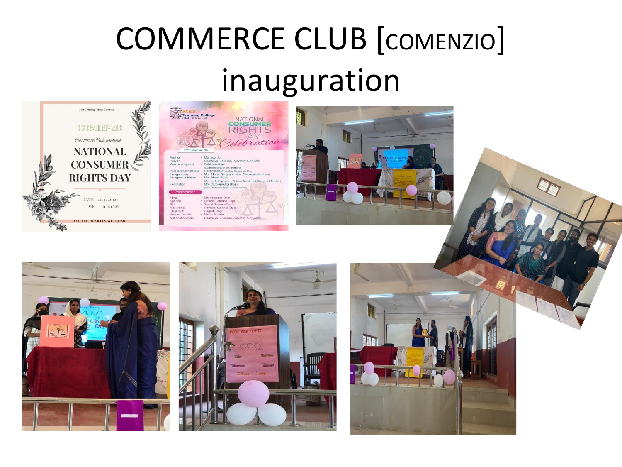## **COMMERCE CLUB [COMENZIO]** inauguration